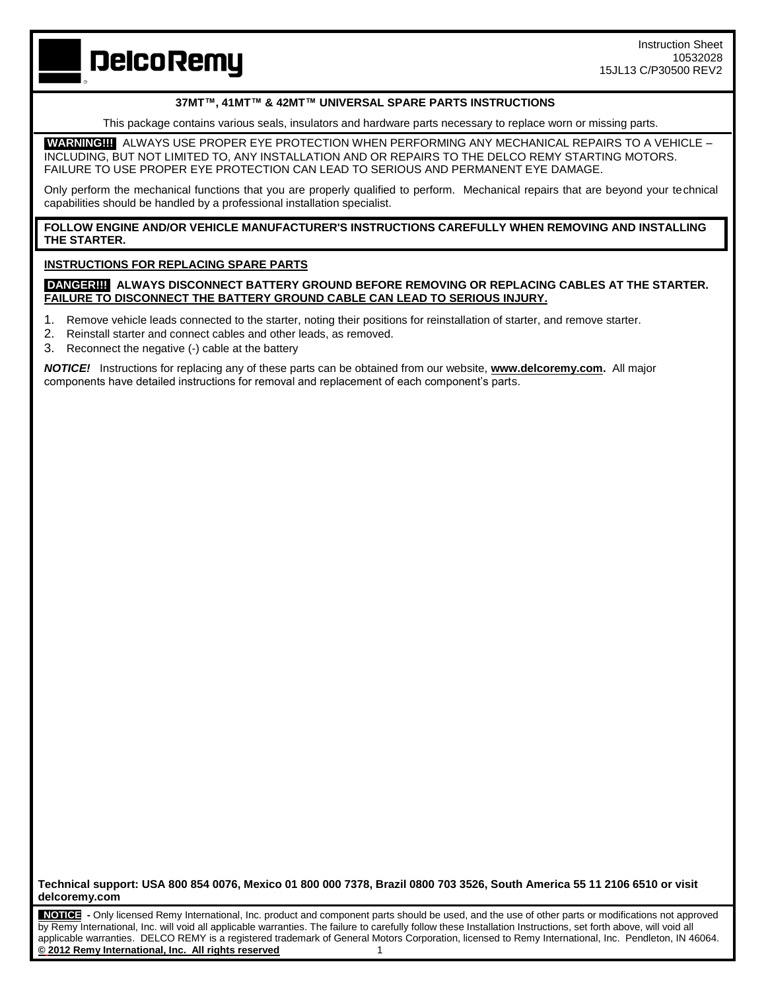**DelcoRemy** 

## **37MT™, 41MT™ & 42MT™ UNIVERSAL SPARE PARTS INSTRUCTIONS**

This package contains various seals, insulators and hardware parts necessary to replace worn or missing parts.

**WARNING!!!** ALWAYS USE PROPER EYE PROTECTION WHEN PERFORMING ANY MECHANICAL REPAIRS TO A VEHICLE – INCLUDING, BUT NOT LIMITED TO, ANY INSTALLATION AND OR REPAIRS TO THE DELCO REMY STARTING MOTORS. FAILURE TO USE PROPER EYE PROTECTION CAN LEAD TO SERIOUS AND PERMANENT EYE DAMAGE.

Only perform the mechanical functions that you are properly qualified to perform. Mechanical repairs that are beyond your technical capabilities should be handled by a professional installation specialist.

**FOLLOW ENGINE AND/OR VEHICLE MANUFACTURER'S INSTRUCTIONS CAREFULLY WHEN REMOVING AND INSTALLING THE STARTER.**

## **INSTRUCTIONS FOR REPLACING SPARE PARTS**

**DANGER!!! ALWAYS DISCONNECT BATTERY GROUND BEFORE REMOVING OR REPLACING CABLES AT THE STARTER. FAILURE TO DISCONNECT THE BATTERY GROUND CABLE CAN LEAD TO SERIOUS INJURY.**

1. Remove vehicle leads connected to the starter, noting their positions for reinstallation of starter, and remove starter.

- 2. Reinstall starter and connect cables and other leads, as removed.
- 3. Reconnect the negative (-) cable at the battery

*NOTICE!* Instructions for replacing any of these parts can be obtained from our website, **[www.delcoremy.com.](http://www.delcoremy.com/)** All major components have detailed instructions for removal and replacement of each component's parts.

**Technical support: USA 800 854 0076, Mexico 01 800 000 7378, Brazil 0800 703 3526, South America 55 11 2106 6510 or visit delcoremy.com**

 **NOTICE -** Only licensed Remy International, Inc. product and component parts should be used, and the use of other parts or modifications not approved by Remy International, Inc. will void all applicable warranties. The failure to carefully follow these Installation Instructions, set forth above, will void all applicable warranties. DELCO REMY is a registered trademark of General Motors Corporation, licensed to Remy International, Inc. Pendleton, IN 46064. **© 2012 Remy International, Inc. All rights reserved** 1